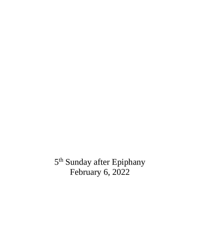5<sup>th</sup> Sunday after Epiphany February 6, 2022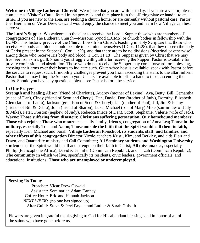**Welcome to Village Lutheran Church!** We rejoice that you are with us today. If you are a visitor, please complete a "Visitor's Card" found in the pew rack and then place it in the offering plate or hand it to an usher. If you are new to the area, are seeking a church home, or are currently without pastoral care, Pastor Joel Biermann or Vicar Drew Oswald would enjoy the chance to meet you and learn how Village can best serve you.

**The Lord's Supper** We welcome to the altar to receive the Lord's Supper those who are members of congregations of The Lutheran Church—Missouri Synod (LCMS) or church bodies in fellowship with the LCMS. This historic practice of the Church flows from Christ's teaching in Holy Scripture that those who receive His body and blood should be able to examine themselves (1 Cor. 11:28), that they discern the body of Christ present in the Supper (1 Cor. 11:29), and that there are to be no divisions (doctrinal or otherwise) among those who receive His body and blood (1 Cor. 11:18). The Supper is given by Christ that we may live free from sin's guilt. Should you struggle with guilt after receiving the Supper, Pastor is available for private confession and absolution. Those who do not receive the Supper may come forward for a blessing, crossing their arms over their hearts to indicate such. Gluten-free host is available; speak with Pastor before the service to request such. If mobility challenges prevent you from ascending the stairs to the altar, inform Pastor that he may bring the Supper to you. Ushers are available to offer a hand to those ascending the stairs. Should you have any questions, please see Pastor before the service.

### **In Our Prayers:**

**Strength and healing** Alison (friend of Charlotte), Audrey (mother of Lexine), Ava, Betty, Bill, Cemantha (niece of Dan), Cindy (friend of Scott and Cheryl), Dan, David, Don (brother of Judy), Dorothy, Elizabeth, Glen (father of Laura), Jackson (grandson of Scott & Cheryl), Jan (mother of Paul), Jill, Jim & Penny (friends of Bill & Debra), John (friend of Sharon), Luke, Michael (son of Mary) Mike (son-in-law of Judy & Mike), Peter, Preston (nephew of Judy), Rebecca (niece of Dan), Scott, Stephanie, Valerie (wife of Jack), Wayne; **Those suffering from disasters; Christians suffering persecution; Our homebound members; Those who rejoice; Those who mourn** especially family, friends, congregation of Anna Lea**; Those in the military,** especially Tom and Aaron; **Those outside the faith that the Spirit would call them to faith,**  especially Ken, Michael and Sarah; **Village Lutheran Preschool, its students, staff, and families, and other efforts of this congregation** Director Nicole, teachers Kristi, Kim, and Berkley, and aids Blair and Dawn, and Quarterlife ministry and Call Committee**; All Seminary students and Washington University students** that the Spirit would instill and strengthen their faith in Christ; **All missionaries,** especially Phillip (Francophone Africa), David & Jennifer (Dominican Republic), and Tirzah (Dominican Republic); **The community in which we live,** specifically its residents, civic leaders, government officials, and educational institutions; **Those who are unemployed or underemployed.**

### **Serving Us Today**

Preacher: Vicar Drew Oswald Assistant: Seminarian Adam Tanney Coffee Hour: Eric and Hannah Jackson *NEXT WEEK*: (no one has signed up) Altar Guild: Steve & Jerri Bryant and Luther & Sarah Gulseth

Flowers are given in grateful thanksgiving to God for His abundant blessings and in honor of all of the saints who have gone before us.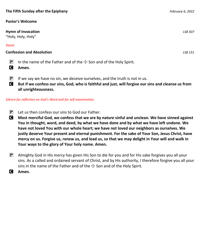### **Pastor's Welcome**

**Hymn of Invocation** *LSB 507* "Holy, Holy, Holy"

### *Stand*

### **Confession and Absolution** *LSB 151*

- **P** In the name of the Father and of the  $\pm$  Son and of the Holy Spirit.
- C **Amen.**
- $\mathbf{P}$  If we say we have no sin, we deceive ourselves, and the truth is not in us.
- C **But if we confess our sins, God, who is faithful and just, will forgive our sins and cleanse us from all unrighteousness.**

### *Silence for reflection on God's Word and for self-examination.*

- $\mathbf{P}$  Let us then confess our sins to God our Father.
- C **Most merciful God, we confess that we are by nature sinful and unclean. We have sinned against You in thought, word, and deed, by what we have done and by what we have left undone. We have not loved You with our whole heart; we have not loved our neighbors as ourselves. We justly deserve Your present and eternal punishment. For the sake of Your Son, Jesus Christ, have mercy on us. Forgive us, renew us, and lead us, so that we may delight in Your will and walk in Your ways to the glory of Your holy name. Amen.**
- $\mathbb{P}$  Almighty God in His mercy has given His Son to die for you and for His sake forgives you all your sins. As a called and ordained servant of Christ, and by His authority, I therefore forgive you all your sins in the name of the Father and of the  $\pm$  Son and of the Holy Spirit.
- C **Amen.**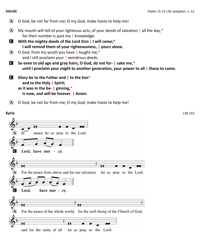- A O God, be not far from me; O my God, make haste to help me!  $\overline{A}$  My mouth will tell of your righteous acts, of your deeds of salvation | all the day,\* for their number is past my | knowledge. C **With the mighty deeds of the Lord GOD | I will come;\* I will remind them of your righteousness, | yours alone.**  $\mathbf{A}$  O God, from my youth you have | taught me,\* and I still proclaim your | wondrous deeds. C **So even to old age and gray hairs, O God, do not for- | sake me,\* until I proclaim your might to another generation, your power to all | those to come.** C **Glory be to the Father and | to the Son**\* **and to the Holy | Spirit; as it was in the be- | ginning,**\* **is now, and will be forever. | Amen.**
	- $[A]$  O God, be not far from me; O my God, make haste to help me!

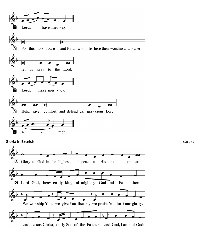

Lord Je-sus Christ, on-ly Son of the Fa-ther, Lord God, Lamb of God: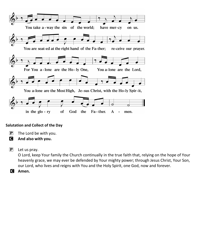

### **Salutation and Collect of the Day**

- $\mathbf{P}$  The Lord be with you.
- C **And also with you.**
- $\mathbf{P}$  Let us pray.

O Lord, keep Your family the Church continually in the true faith that, relying on the hope of Your heavenly grace, we may ever be defended by Your mighty power; through Jesus Christ, Your Son, our Lord, who lives and reigns with You and the Holy Spirit, one God, now and forever.

C **Amen.**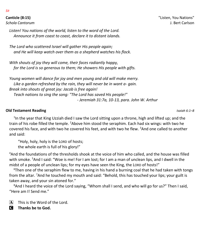*Listen! You nations of the world, listen to the word of the Lord. Announce it from coast to coast, declare it to distant islands.*

*The Lord who scattered Israel will gather His people again; and He will keep watch over them as a shepherd watches his flock.* 

*With shouts of joy they will come, their faces radiantly happy, for the Lord is so generous to them; He showers His people with gifts.* 

*Young women will dance for joy and men young and old will make merry. Like a garden refreshed by the rain, they will never be in want a- gain. Break into shouts of great joy: Jacob is free again! Teach nations to sing the song: "The Lord has saved His people!" - Jeremiah 31:7a, 10-13, para. John W. Arthur*

### **Old Testament Reading** *Isaiah 6:1–8*

<sup>1</sup>In the year that King Uzziah died I saw the Lord sitting upon a throne, high and lifted up; and the train of his robe filled the temple. <sup>2</sup>Above him stood the seraphim. Each had six wings: with two he covered his face, and with two he covered his feet, and with two he flew. <sup>3</sup>And one called to another and said:

"Holy, holy, holy is the LORD of hosts; the whole earth is full of his glory!"

<sup>4</sup>And the foundations of the thresholds shook at the voice of him who called, and the house was filled with smoke. <sup>5</sup>And I said: "Woe is me! For I am lost; for I am a man of unclean lips, and I dwell in the midst of a people of unclean lips; for my eyes have seen the King, the LORD of hosts!"

 $6$ Then one of the seraphim flew to me, having in his hand a burning coal that he had taken with tongs from the altar. <sup>7</sup>And he touched my mouth and said: "Behold, this has touched your lips; your guilt is taken away, and your sin atoned for."

<sup>8</sup>And I heard the voice of the Lord saying, "Whom shall I send, and who will go for us?" Then I said, "Here am I! Send me."

 $\overline{A}$  This is the Word of the Lord.

C **Thanks be to God.**

*Sit*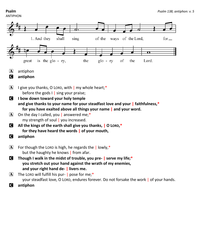## ANTIPHON

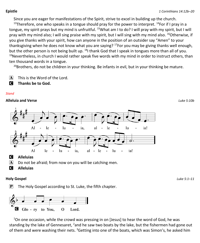Since you are eager for manifestations of the Spirit, strive to excel in building up the church.

<sup>13</sup>Therefore, one who speaks in a tongue should pray for the power to interpret.  $^{14}$ For if I pray in a tongue, my spirit prays but my mind is unfruitful. <sup>15</sup>What am I to do? I will pray with my spirit, but I will pray with my mind also; I will sing praise with my spirit, but I will sing with my mind also. <sup>16</sup>Otherwise, if you give thanks with your spirit, how can anyone in the position of an outsider say "Amen" to your thanksgiving when he does not know what you are saying?  $17$  For you may be giving thanks well enough, but the other person is not being built up.  $^{18}$  thank God that I speak in tongues more than all of you.  $19$ Nevertheless, in church I would rather speak five words with my mind in order to instruct others, than ten thousand words in a tongue.

 $^{20}$ Brothers, do not be children in your thinking. Be infants in evil, but in your thinking be mature.

 $\overline{A}$  This is the Word of the Lord.

C **Thanks be to God.**

### *Stand*

### **Alleluia and Verse** *Luke 5:10b*



C **Alleluias**

 $\mathbf{A}$  Do not be afraid; from now on you will be catching men.

C **Alleluias** 

### **Holy Gospel** *Luke 5:1–11*

 $\mathbf{P}$  The Holy Gospel according to St. Luke, the fifth chapter.



 $1$ On one occasion, while the crowd was pressing in on [Jesus] to hear the word of God, he was standing by the lake of Gennesaret, <sup>2</sup>and he saw two boats by the lake, but the fishermen had gone out of them and were washing their nets. <sup>3</sup>Getting into one of the boats, which was Simon's, he asked him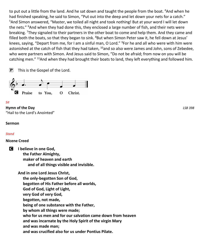to put out a little from the land. And he sat down and taught the people from the boat. <sup>4</sup>And when he had finished speaking, he said to Simon, "Put out into the deep and let down your nets for a catch." <sup>5</sup>And Simon answered, "Master, we toiled all night and took nothing! But at your word I will let down the nets." <sup>6</sup>And when they had done this, they enclosed a large number of fish, and their nets were breaking. <sup>7</sup>They signaled to their partners in the other boat to come and help them. And they came and filled both the boats, so that they began to sink. <sup>8</sup>But when Simon Peter saw it, he fell down at Jesus' knees, saying, "Depart from me, for I am a sinful man, O Lord." <sup>9</sup>For he and all who were with him were astonished at the catch of fish that they had taken,  $10$  and so also were James and John, sons of Zebedee, who were partners with Simon. And Jesus said to Simon, "Do not be afraid; from now on you will be catching men." <sup>11</sup>And when they had brought their boats to land, they left everything and followed him.

**P** This is the Gospel of the Lord.



### *Sit*

**Hymn of the Day** *LSB 398* "Hail to the Lord's Anointed"

### **Sermon**

### *Stand*

### **Nicene Creed**

C **I believe in one God, the Father Almighty, maker of heaven and earth and of all things visible and invisible.**

> **And in one Lord Jesus Christ, the only-begotten Son of God, begotten of His Father before all worlds,**

 **God of God, Light of Light,**

 **very God of very God,**

 **begotten, not made,**

 **being of one substance with the Father,**

 **by whom all things were made;**

 **who for us men and for our salvation came down from heaven**

 **and was incarnate by the Holy Spirit of the virgin Mary**

 **and was made man;**

 **and was crucified also for us under Pontius Pilate.**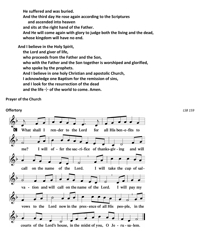**He suffered and was buried.**

 **And the third day He rose again according to the Scriptures**

 **and ascended into heaven**

 **and sits at the right hand of the Father.**

 **And He will come again with glory to judge both the living and the dead, whose kingdom will have no end.**

**And I believe in the Holy Spirit,**

 **the Lord and giver of life,**

 **who proceeds from the Father and the Son,**

 **who with the Father and the Son together is worshiped and glorified,**

 **who spoke by the prophets.**

 **And I believe in one holy Christian and apostolic Church,**

 **I acknowledge one Baptism for the remission of sins,**

 **and I look for the resurrection of the dead**

and the life  $\pm$  of the world to come. Amen.

**Prayer of the Church**

**Offertory** *LSB 159*C What shall I ren-der to the Lord for all His ben-e-fits to me? I will of - fer the sac-ri-fice of thanks-giv - ing and will call of the Lord. on the name I will take the cup of sal-A va - tion and will call on the name of the Lord. I will pay my vows to the Lord now in the pres-ence of all His peo-ple, in the courts of the Lord's house, in the midst of you, O Je - ru - sa-lem.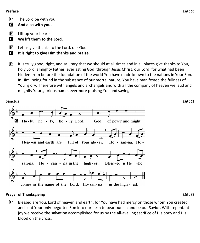### **Preface** *LSB 160*

- $\left| \mathbf{P} \right|$  The Lord be with you.
- C **And also with you.**
- $\left| \mathbf{P} \right|$  Lift up your hearts.
- **C** We lift them to the Lord.
- $\mathbf{P}$  Let us give thanks to the Lord, our God.
- C **It is right to give Him thanks and praise.**
- $\mathbf{P}$  It is truly good, right, and salutary that we should at all times and in all places give thanks to You, holy Lord, almighty Father, everlasting God, through Jesus Christ, our Lord; for what had been hidden from before the foundation of the world You have made known to the nations in Your Son. In Him, being found in the substance of our mortal nature, You have manifested the fullness of Your glory. Therefore with angels and archangels and with all the company of heaven we laud and magnify Your glorious name, evermore praising You and saying:



### **Prayer of Thanksgiving** *LSB 161*

 $\mathbf{P}$  Blessed are You, Lord of heaven and earth, for You have had mercy on those whom You created and sent Your only-begotten Son into our flesh to bear our sin and be our Savior. With repentant joy we receive the salvation accomplished for us by the all-availing sacrifice of His body and His blood on the cross.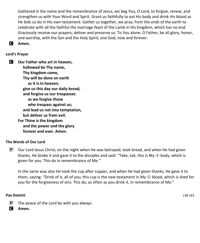Gathered in the name and the remembrance of Jesus, we beg You, O Lord, to forgive, renew, and strengthen us with Your Word and Spirit. Grant us faithfully to eat His body and drink His blood as He bids us do in His own testament. Gather us together, we pray, from the ends of the earth to celebrate with all the faithful the marriage feast of the Lamb in His kingdom, which has no end. Graciously receive our prayers; deliver and preserve us. To You alone, O Father, be all glory, honor, and worship, with the Son and the Holy Spirit, one God, now and forever.

C **Amen.**

### **Lord's Prayer**

C **Our Father who art in heaven, hallowed be Thy name, Thy kingdom come, Thy will be done on earth as it is in heaven; give us this day our daily bread; and forgive us our trespasses as we forgive those who trespass against us; and lead us not into temptation, but deliver us from evil. For Thine is the kingdom and the power and the glory forever and ever. Amen.**

### **The Words of Our Lord**

 $\mathbb{P}$  Our Lord Jesus Christ, on the night when He was betrayed, took bread, and when He had given thanks, He broke it and gave it to the disciples and said: "Take, eat; this is My  $+$  body, which is given for you. This do in remembrance of Me."

In the same way also He took the cup after supper, and when He had given thanks, He gave it to them, saying: "Drink of it, all of you; this cup is the new testament in My  $\pm$  blood, which is shed for you for the forgiveness of sins. This do, as often as you drink it, in remembrance of Me."

### **Pax Domini** *LSB 163*

- $\mathbf{P}$  The peace of the Lord be with you always.
- C **Amen.**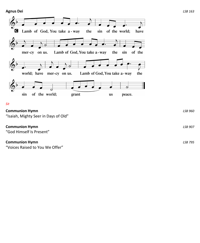

#### *Sit*

## **Communion Hymn** *LSB 960*

"Isaiah, Mighty Seer in Days of Old"

### **Communion Hymn** *LSB 907*

"God Himself Is Present"

### **Communion Hymn** *LSB 795*

"Voices Raised to You We Offer"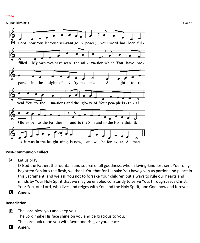#### *Stand*

### **Nunc Dimittis** *LSB 165*



### **Post-Communion Collect**

 $\mathbf{A}$  Let us pray.

O God the Father, the fountain and source of all goodness, who in loving-kindness sent Your onlybegotten Son into the flesh, we thank You that for His sake You have given us pardon and peace in this Sacrament, and we ask You not to forsake Your children but always to rule our hearts and minds by Your Holy Spirit that we may be enabled constantly to serve You; through Jesus Christ, Your Son, our Lord, who lives and reigns with You and the Holy Spirit, one God, now and forever.

C **Amen.**

### **Benediction**

- $\boxed{\mathbf{P}}$  The Lord bless you and keep you. The Lord make His face shine on you and be gracious to you. The Lord look upon you with favor and  $+$  give you peace.
- C **Amen.**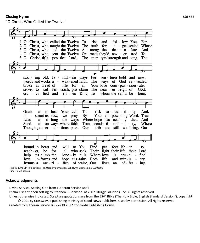### **Closing Hymn** *LSB 856*

"O Christ, Who Called the Twelve"



Text: © 1993 GIA Publications, Inc. Used by permission: LSB Hymn License no. 110003501 Tune: Public domain

#### **Acknowledgments**

Divine Service, Setting One from Lutheran Service Book

Psalm 138 antiphon setting by Stephen R. Johnson. © 2007 Liturgy Solutions, Inc. All rights reserved. Unless otherwise indicated, Scripture quotations are from the ESV® Bible (The Holy Bible, English Standard Version®), copyright

© 2001 by Crossway, a publishing ministry of Good News Publishers. Used by permission. All rights reserved. Created by Lutheran Service Builder © 2022 Concordia Publishing House.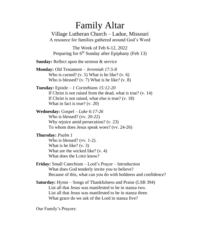# Family Altar

Village Lutheran Church – Ladue, Missouri A resource for families gathered around God's Word

The Week of Feb 6-12, 2022 Preparing for  $6<sup>th</sup>$  Sunday after Epiphany (Feb 13)

**Sunday:** Reflect upon the sermon & service

**Monday:** Old Testament – *Jeremiah 17:5-8*  Who is cursed? (v. 5) What is he like? (v. 6) Who is blessed? (v. 7) What is he like? (v. 8)

### **Tuesday:** Epistle – *1 Corinthians 15:12-20* If Christ is not raised from the dead, what is true? (v. 14) If Christ is not raised, what else is true? (v. 18) What in fact is true? (v. 20)

**Wednesday:** Gospel – *Luke 6:17-26*  Who is blessed? (vv. 20-22) Why rejoice amid persecution? (v. 23) To whom does Jesus speak woes? (vv. 24-26)

### **Thursday:** *Psalm 1*

Who is blessed? (vv. 1-2). What is he like? (v. 3) What are the wicked like? (v. 4) What does the LORD know?

**Friday:** Small Catechism – Lord's Prayer – Introduction What does God tenderly invite you to believe? Because of this, what can you do with boldness and confidence?

**Saturday:** Hymn – Songs of Thankfulness and Praise (LSB 394) List all that Jesus was manifested to be in stanza two. List all that Jesus was manifested to be in stanza three. What grace do we ask of the Lord in stanza five?

Our Family's Prayers: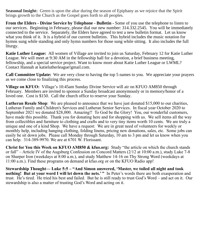**Seasonal Insight:** Green is upon the altar during the season of Epiphany as we rejoice that the Spirit brings growth to the Church as the Gospel goes forth to all peoples.

**From the Elders - Divine Service by Telephone - Bulletin -** Some of you use the telephone to listen to our services. Beginning in February, please dial our new number: 314.332.2545. You will be immediately connected to the service. Separately, the Elders have agreed to test a new bulletin format. Let us know what you think of it. It is a hybrid of our current bulletins. This hybrid includes the music notation for hymns sung while standing and only hymn numbers for those sung while sitting. It also includes the full liturgy.

**Katie Luther League:** All women of Village are invited to join us Saturday, February 12 for Katie Luther League. We will meet at 9:30 AM in the fellowship hall for a devotion, a brief business meeting, fellowship, and a special service project. Want to know more about Katie Luther League or LWML? Contact Hannah at katielutherleague!gmail.com.

**Call Committee Update:** We are very close to having the top 5 names to you. We appreciate your prayers as we come close to finalizing this process.

**Village on KFUO:** Village's 10:45am Sunday Divine Service will air on KFUO AM850 through February. Members are invited to sponsor a Sunday broadcast anonymously or in memory/honor of a loved one. Cost is \$150. Call the church office to reserve your Sunday.

**Lutheran Resale Shop**: We are pleased to announce that we have just donated \$15,000 to our charities, Lutheran Family and Children's Services and Lutheran Senior Services. In fiscal year October 2020 to September 2021 we donated \$28,000. Amazing!! To God be the Glory! You, our wonderful customers, have made this possible. Thank you for donating here and for shopping with us. We sell items all the way from collectibles and furniture to clothing and crafts and to very tiny items worth 10 cents. We are truly a unique and one of a kind Shop. We have a request: We are in great need of volunteers for weekly or monthly help, including hanging clothing, folding linens, pricing new donations, sales, etc. Some jobs can easily be sit down jobs. Please call Monday through Saturday, 10 am to 3 pm and let us know when you can help. 314-389-9970. We are at 6701 W. Florissant.

**Christ for You this Week on KFUO AM850 & kfuo.org:** Study "the article on which the church stands or fall" – Article IV of the Augsburg Confession on Concord Matters (2/12 at 10:00 a.m.), study Luke 7-8 on Sharper Iron (weekdays at 8:00 a.m.), and study Matthew 14-16 on Thy Strong Word (weekdays at 11:00 a.m.). Find these programs on demand at kfuo.org or on the KFUO Radio app!

**Stewardship Thought— Luke 5:5 – "And Simon answered, 'Master, we toiled all night and took nothing! But at your word I will let down the nets.'** " In Peter's words there are both exasperation and trust. He's tired. He tried his best and failed. But he is still ready to trust God's Word – and act on it. Our stewardship is also a matter of trusting God's Word and acting on it.